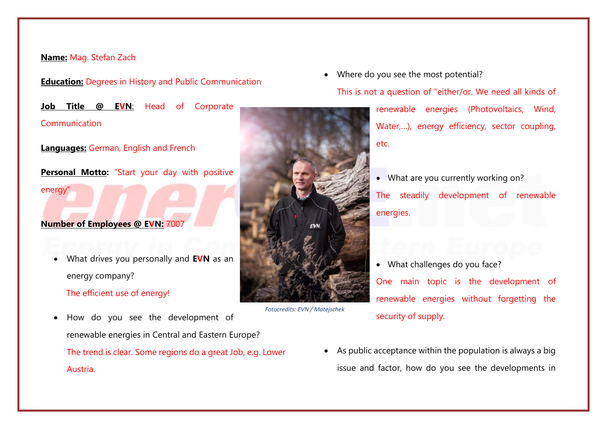## **Name:** Mag. Stefan Zach

energy"

**Education:** Degrees in History and Public Communication

**Job Title @ EVN**: Head of Corporate Communication

**Languages:** German, English and French

**Personal Motto:** "Start your day with positive

## **Number of Employees @ EVN:** 7007

 What drives you personally and **EVN** as an energy company?

The efficient use of energy!

 How do you see the development of renewable energies in Central and Eastern Europe? The trend is clear. Some regions do a great Job, e.g. Lower Austria.



*Fotocredits: EVN / Matejschek*

Where do you see the most potential?

This is not a question of "either/or. We need all kinds of

renewable energies (Photovoltaics, Wind, Water,…), energy efficiency, sector coupling, etc.

- What are you currently working on? The steadily development of renewable energies.
- What challenges do you face? One main topic is the development of renewable energies without forgetting the security of supply.
- As public acceptance within the population is always a big issue and factor, how do you see the developments in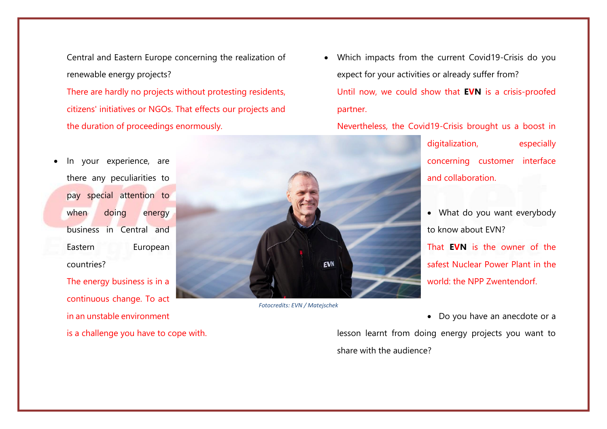Central and Eastern Europe concerning the realization of renewable energy projects?

There are hardly no projects without protesting residents, citizens' initiatives or NGOs. That effects our projects and the duration of proceedings enormously.

 In your experience, are there any peculiarities to pay special attention to when doing energy business in Central and Eastern European countries?

The energy business is in a continuous change. To act in an unstable environment is a challenge you have to cope with.



*Fotocredits: EVN / Matejschek*

 Which impacts from the current Covid19-Crisis do you expect for your activities or already suffer from? Until now, we could show that **EVN** is a crisis-proofed partner.

Nevertheless, the Covid19-Crisis brought us a boost in

digitalization, especially concerning customer interface and collaboration.

• What do you want everybody to know about EVN? That **EVN** is the owner of the safest Nuclear Power Plant in the world: the NPP Zwentendorf.

lesson learnt from doing energy projects you want to share with the audience?

Do you have an anecdote or a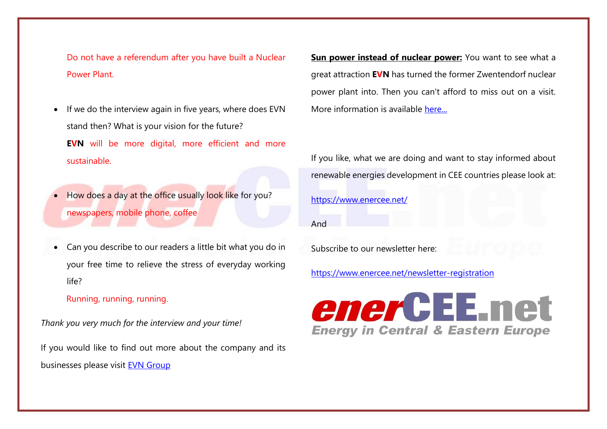Do not have a referendum after you have built a Nuclear Power Plant.

- If we do the interview again in five years, where does EVN stand then? What is your vision for the future? **EVN** will be more digital, more efficient and more sustainable.
- How does a day at the office usually look like for you? newspapers, mobile phone, coffee
- Can you describe to our readers a little bit what you do in your free time to relieve the stress of everyday working life?

Running, running, running.

*Thank you very much for the interview and your time!*

If you would like to find out more about the company and its businesses please visit [EVN Group](https://www.evn.at/EVN-Group.aspx?lang=en-US)

**Sun power instead of nuclear power:** You want to see what a great attraction **EVN** has turned the former Zwentendorf nuclear power plant into. Then you can't afford to miss out on a visit. More information is available [here...](http://www.zwentendorf.com/en/)

If you like, what we are doing and want to stay informed about renewable energies development in CEE countries please look at:

<https://www.enercee.net/>

And

Subscribe to our newsletter here:

<https://www.enercee.net/newsletter-registration>